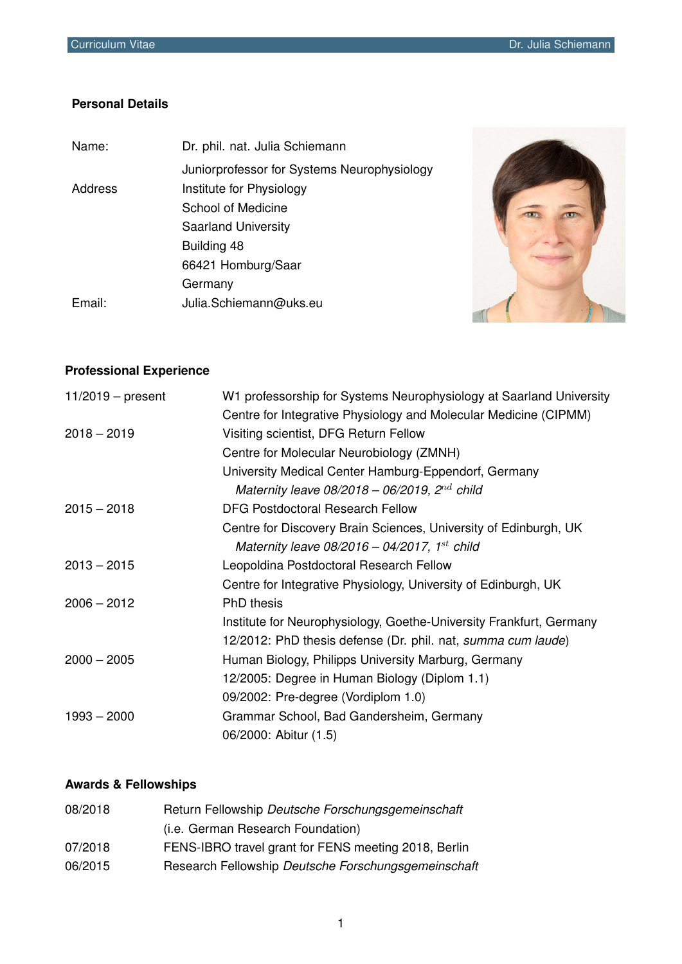### **Personal Details**

| Name:          | Dr. phil. nat. Julia Schiemann              |
|----------------|---------------------------------------------|
|                | Juniorprofessor for Systems Neurophysiology |
| <b>Address</b> | Institute for Physiology                    |
|                | School of Medicine                          |
|                | <b>Saarland University</b>                  |
|                | Building 48                                 |
|                | 66421 Homburg/Saar                          |
|                | Germany                                     |
| Email:         | Julia Schiemann@uks.eu                      |
|                |                                             |



# **Professional Experience**

| $11/2019$ – present | W1 professorship for Systems Neurophysiology at Saarland University |
|---------------------|---------------------------------------------------------------------|
|                     | Centre for Integrative Physiology and Molecular Medicine (CIPMM)    |
| $2018 - 2019$       | Visiting scientist, DFG Return Fellow                               |
|                     | Centre for Molecular Neurobiology (ZMNH)                            |
|                     | University Medical Center Hamburg-Eppendorf, Germany                |
|                     | Maternity leave $08/2018 - 06/2019$ , $2^{nd}$ child                |
| $2015 - 2018$       | DFG Postdoctoral Research Fellow                                    |
|                     | Centre for Discovery Brain Sciences, University of Edinburgh, UK    |
|                     | Maternity leave $08/2016 - 04/2017$ , 1 <sup>st</sup> child         |
| $2013 - 2015$       | Leopoldina Postdoctoral Research Fellow                             |
|                     | Centre for Integrative Physiology, University of Edinburgh, UK      |
| $2006 - 2012$       | PhD thesis                                                          |
|                     | Institute for Neurophysiology, Goethe-University Frankfurt, Germany |
|                     | 12/2012: PhD thesis defense (Dr. phil. nat, summa cum laude)        |
| $2000 - 2005$       | Human Biology, Philipps University Marburg, Germany                 |
|                     | 12/2005: Degree in Human Biology (Diplom 1.1)                       |
|                     | 09/2002: Pre-degree (Vordiplom 1.0)                                 |
| $1993 - 2000$       | Grammar School, Bad Gandersheim, Germany                            |
|                     | 06/2000: Abitur (1.5)                                               |

## **Awards & Fellowships**

| 08/2018 | Return Fellowship Deutsche Forschungsgemeinschaft    |
|---------|------------------------------------------------------|
|         | (i.e. German Research Foundation)                    |
| 07/2018 | FENS-IBRO travel grant for FENS meeting 2018, Berlin |
| 06/2015 | Research Fellowship Deutsche Forschungsgemeinschaft  |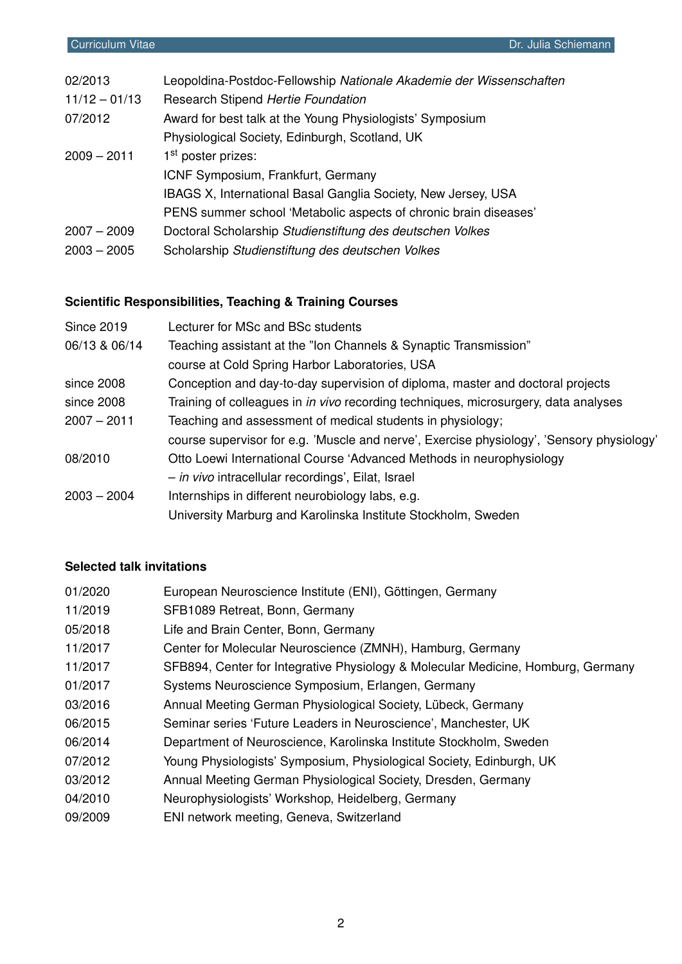| 02/2013         | Leopoldina-Postdoc-Fellowship Nationale Akademie der Wissenschaften |
|-----------------|---------------------------------------------------------------------|
| $11/12 - 01/13$ | Research Stipend Hertie Foundation                                  |
| 07/2012         | Award for best talk at the Young Physiologists' Symposium           |
|                 | Physiological Society, Edinburgh, Scotland, UK                      |
| $2009 - 2011$   | 1 <sup>st</sup> poster prizes:                                      |
|                 | ICNF Symposium, Frankfurt, Germany                                  |
|                 | IBAGS X, International Basal Ganglia Society, New Jersey, USA       |
|                 | PENS summer school 'Metabolic aspects of chronic brain diseases'    |
| $2007 - 2009$   | Doctoral Scholarship Studienstiftung des deutschen Volkes           |
| $2003 - 2005$   | Scholarship Studienstiftung des deutschen Volkes                    |
|                 |                                                                     |

# **Scientific Responsibilities, Teaching & Training Courses**

| <b>Since 2019</b> | Lecturer for MSc and BSc students                                                          |
|-------------------|--------------------------------------------------------------------------------------------|
| 06/13 & 06/14     | Teaching assistant at the "Ion Channels & Synaptic Transmission"                           |
|                   | course at Cold Spring Harbor Laboratories, USA                                             |
| since 2008        | Conception and day-to-day supervision of diploma, master and doctoral projects             |
| since 2008        | Training of colleagues in <i>in vivo</i> recording techniques, microsurgery, data analyses |
| $2007 - 2011$     | Teaching and assessment of medical students in physiology;                                 |
|                   | course supervisor for e.g. 'Muscle and nerve', Exercise physiology', 'Sensory physiology'  |
| 08/2010           | Otto Loewi International Course 'Advanced Methods in neurophysiology                       |
|                   | - in vivo intracellular recordings', Eilat, Israel                                         |
| $2003 - 2004$     | Internships in different neurobiology labs, e.g.                                           |
|                   | University Marburg and Karolinska Institute Stockholm, Sweden                              |

# **Selected talk invitations**

| 01/2020 | European Neuroscience Institute (ENI), Göttingen, Germany                        |
|---------|----------------------------------------------------------------------------------|
| 11/2019 | SFB1089 Retreat, Bonn, Germany                                                   |
| 05/2018 | Life and Brain Center, Bonn, Germany                                             |
| 11/2017 | Center for Molecular Neuroscience (ZMNH), Hamburg, Germany                       |
| 11/2017 | SFB894, Center for Integrative Physiology & Molecular Medicine, Homburg, Germany |
| 01/2017 | Systems Neuroscience Symposium, Erlangen, Germany                                |
| 03/2016 | Annual Meeting German Physiological Society, Lübeck, Germany                     |
| 06/2015 | Seminar series 'Future Leaders in Neuroscience', Manchester, UK                  |
| 06/2014 | Department of Neuroscience, Karolinska Institute Stockholm, Sweden               |
| 07/2012 | Young Physiologists' Symposium, Physiological Society, Edinburgh, UK             |
| 03/2012 | Annual Meeting German Physiological Society, Dresden, Germany                    |
| 04/2010 | Neurophysiologists' Workshop, Heidelberg, Germany                                |
| 09/2009 | ENI network meeting, Geneva, Switzerland                                         |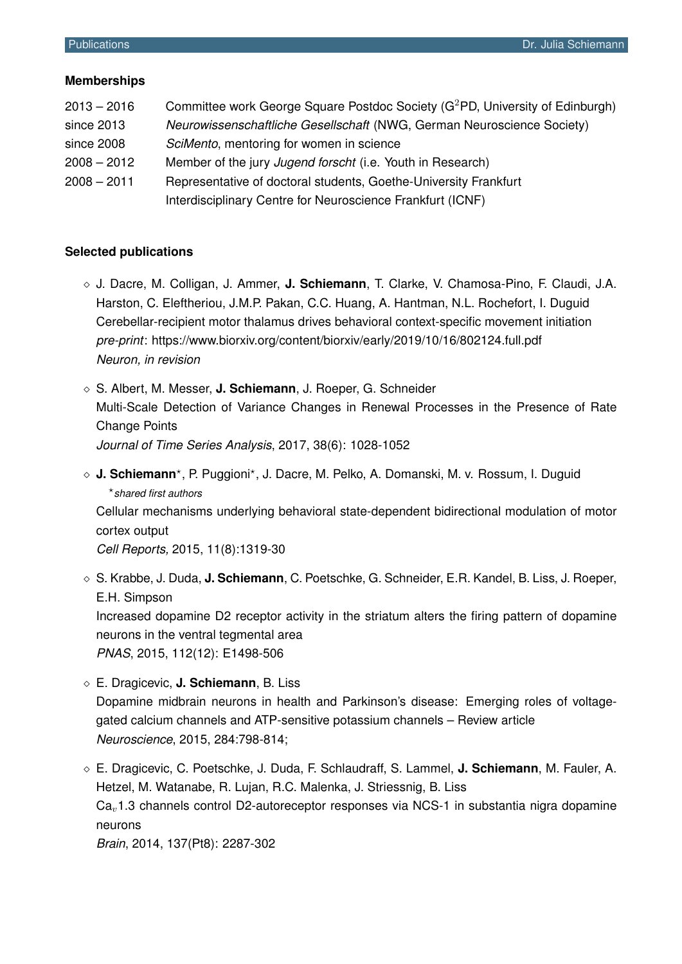### **Memberships**

| $2013 - 2016$ | Committee work George Square Postdoc Society (G <sup>2</sup> PD, University of Edinburgh) |
|---------------|-------------------------------------------------------------------------------------------|
| since 2013    | Neurowissenschaftliche Gesellschaft (NWG, German Neuroscience Society)                    |
| since 2008    | SciMento, mentoring for women in science                                                  |
| $2008 - 2012$ | Member of the jury Jugend forscht (i.e. Youth in Research)                                |
| $2008 - 2011$ | Representative of doctoral students, Goethe-University Frankfurt                          |
|               | Interdisciplinary Centre for Neuroscience Frankfurt (ICNF)                                |

### **Selected publications**

- J. Dacre, M. Colligan, J. Ammer, **J. Schiemann**, T. Clarke, V. Chamosa-Pino, F. Claudi, J.A. Harston, C. Eleftheriou, J.M.P. Pakan, C.C. Huang, A. Hantman, N.L. Rochefort, I. Duguid Cerebellar-recipient motor thalamus drives behavioral context-specific movement initiation *pre-print*: https://www.biorxiv.org/content/biorxiv/early/2019/10/16/802124.full.pdf *Neuron, in revision*
- S. Albert, M. Messer, **J. Schiemann**, J. Roeper, G. Schneider Multi-Scale Detection of Variance Changes in Renewal Processes in the Presence of Rate Change Points *Journal of Time Series Analysis*, 2017, 38(6): 1028-1052
- ◇ **J. Schiemann**\*, P. Puggioni\*, J. Dacre, M. Pelko, A. Domanski, M. v. Rossum, I. Duguid xx? *shared first authors*

Cellular mechanisms underlying behavioral state-dependent bidirectional modulation of motor cortex output

*Cell Reports,* 2015, 11(8):1319-30

- S. Krabbe, J. Duda, **J. Schiemann**, C. Poetschke, G. Schneider, E.R. Kandel, B. Liss, J. Roeper, E.H. Simpson Increased dopamine D2 receptor activity in the striatum alters the firing pattern of dopamine neurons in the ventral tegmental area *PNAS*, 2015, 112(12): E1498-506
- E. Dragicevic, **J. Schiemann**, B. Liss Dopamine midbrain neurons in health and Parkinson's disease: Emerging roles of voltagegated calcium channels and ATP-sensitive potassium channels – Review article *Neuroscience*, 2015, 284:798-814;
- E. Dragicevic, C. Poetschke, J. Duda, F. Schlaudraff, S. Lammel, **J. Schiemann**, M. Fauler, A. Hetzel, M. Watanabe, R. Lujan, R.C. Malenka, J. Striessnig, B. Liss  $Ca<sub>v</sub>1.3$  channels control D2-autoreceptor responses via NCS-1 in substantia nigra dopamine neurons

*Brain*, 2014, 137(Pt8): 2287-302